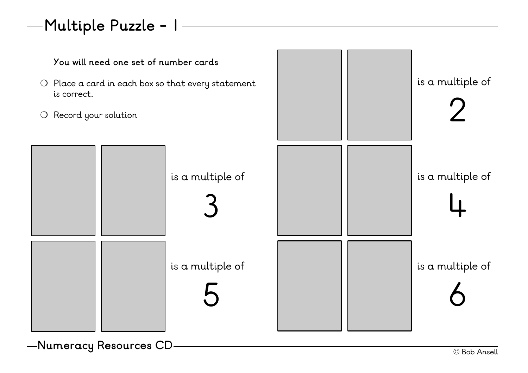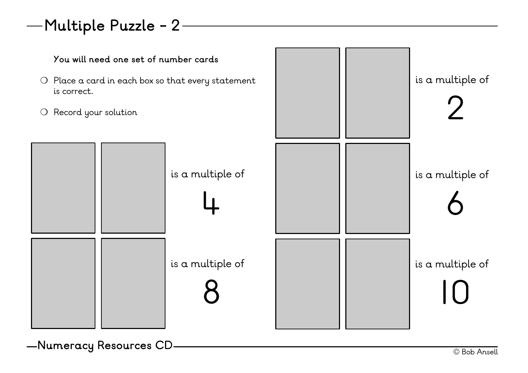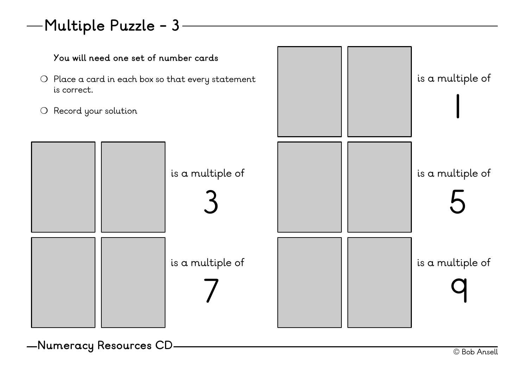